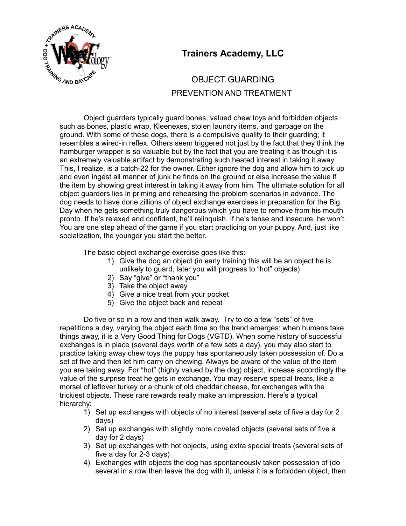

## **Trainers Academy, LLC**

## OBJECT GUARDING PREVENTION AND TREATMENT

Object guarders typically guard bones, valued chew toys and forbidden objects such as bones, plastic wrap, Kleenexes, stolen laundry items, and garbage on the ground. With some of these dogs, there is a compulsive quality to their guarding; it resembles a wired-in reflex. Others seem triggered not just by the fact that they think the hamburger wrapper is so valuable but by the fact that you are treating it as though it is an extremely valuable artifact by demonstrating such heated interest in taking it away. This, I realize, is a catch-22 for the owner. Either ignore the dog and allow him to pick up and even ingest all manner of junk he finds on the ground or else increase the value if the item by showing great interest in taking it away from him. The ultimate solution for all object guarders lies in priming and rehearsing the problem scenarios in advance. The dog needs to have done zillions of object exchange exercises in preparation for the Big Day when he gets something truly dangerous which you have to remove from his mouth pronto. If he's relaxed and confident, he'll relinquish. If he's tense and insecure, he won't. You are one step ahead of the game if you start practicing on your puppy. And, just like socialization, the younger you start the better.

The basic object exchange exercise goes like this:

- 1) Give the dog an object (in early training this will be an object he is unlikely to guard, later you will progress to "hot" objects)
- 2) Say "give" or "thank you"
- 3) Take the object away
- 4) Give a nice treat from your pocket
- 5) Give the object back and repeat

Do five or so in a row and then walk away. Try to do a few "sets" of five repetitions a day, varying the object each time so the trend emerges: when humans take things away, it is a Very Good Thing for Dogs (VGTD). When some history of successful exchanges is in place (several days worth of a few sets a day), you may also start to practice taking away chew toys the puppy has spontaneously taken possession of. Do a set of five and then let him carry on chewing. Always be aware of the value of the item you are taking away. For "hot" (highly valued by the dog) object, increase accordingly the value of the surprise treat he gets in exchange. You may reserve special treats, like a morsel of leftover turkey or a chunk of old cheddar cheese, for exchanges with the trickiest objects. These rare rewards really make an impression. Here's a typical hierarchy:

- 1) Set up exchanges with objects of no interest (several sets of five a day for 2 days)
- 2) Set up exchanges with slightly more coveted objects (several sets of five a day for 2 days)
- 3) Set up exchanges with hot objects, using extra special treats (several sets of five a day for 2-3 days)
- 4) Exchanges with objects the dog has spontaneously taken possession of (do several in a row then leave the dog with it, unless it is a forbidden object, then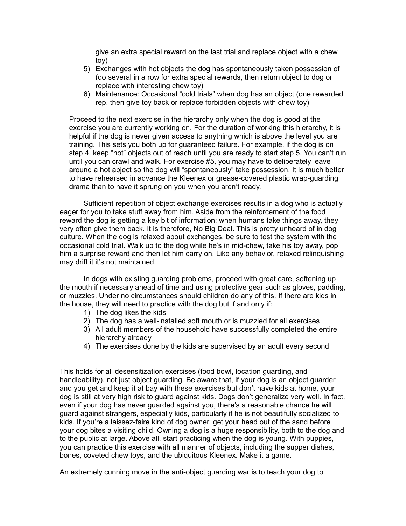give an extra special reward on the last trial and replace object with a chew toy)

- 5) Exchanges with hot objects the dog has spontaneously taken possession of (do several in a row for extra special rewards, then return object to dog or replace with interesting chew toy)
- 6) Maintenance: Occasional "cold trials" when dog has an object (one rewarded rep, then give toy back or replace forbidden objects with chew toy)

Proceed to the next exercise in the hierarchy only when the dog is good at the exercise you are currently working on. For the duration of working this hierarchy, it is helpful if the dog is never given access to anything which is above the level you are training. This sets you both up for guaranteed failure. For example, if the dog is on step 4, keep "hot" objects out of reach until you are ready to start step 5. You can't run until you can crawl and walk. For exercise #5, you may have to deliberately leave around a hot abject so the dog will "spontaneously" take possession. It is much better to have rehearsed in advance the Kleenex or grease-covered plastic wrap-guarding drama than to have it sprung on you when you aren't ready.

Sufficient repetition of object exchange exercises results in a dog who is actually eager for you to take stuff away from him. Aside from the reinforcement of the food reward the dog is getting a key bit of information: when humans take things away, they very often give them back. It is therefore, No Big Deal. This is pretty unheard of in dog culture. When the dog is relaxed about exchanges, be sure to test the system with the occasional cold trial. Walk up to the dog while he's in mid-chew, take his toy away, pop him a surprise reward and then let him carry on. Like any behavior, relaxed relinquishing may drift it it's not maintained.

In dogs with existing guarding problems, proceed with great care, softening up the mouth if necessary ahead of time and using protective gear such as gloves, padding, or muzzles. Under no circumstances should children do any of this. If there are kids in the house, they will need to practice with the dog but if and only if:

- 1) The dog likes the kids
- 2) The dog has a well-installed soft mouth or is muzzled for all exercises
- 3) All adult members of the household have successfully completed the entire hierarchy already
- 4) The exercises done by the kids are supervised by an adult every second

This holds for all desensitization exercises (food bowl, location guarding, and handleability), not just object guarding. Be aware that, if your dog is an object guarder and you get and keep it at bay with these exercises but don't have kids at home, your dog is still at very high risk to guard against kids. Dogs don't generalize very well. In fact, even if your dog has never guarded against you, there's a reasonable chance he will guard against strangers, especially kids, particularly if he is not beautifully socialized to kids. If you're a laissez-faire kind of dog owner, get your head out of the sand before your dog bites a visiting child. Owning a dog is a huge responsibility, both to the dog and to the public at large. Above all, start practicing when the dog is young. With puppies, you can practice this exercise with all manner of objects, including the supper dishes, bones, coveted chew toys, and the ubiquitous Kleenex. Make it a game.

An extremely cunning move in the anti-object guarding war is to teach your dog to